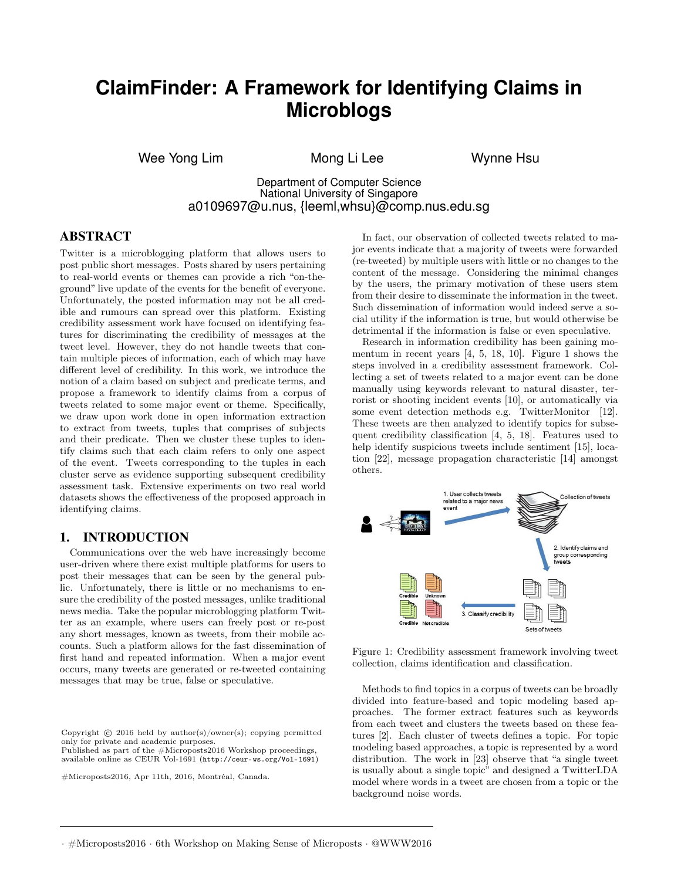# **ClaimFinder: A Framework for Identifying Claims in Microblogs**

Wee Yong Lim Mong Li Lee Wynne Hsu

Department of Computer Science National University of Singapore a0109697@u.nus, {leeml,whsu}@comp.nus.edu.sg

#### ABSTRACT

Twitter is a microblogging platform that allows users to post public short messages. Posts shared by users pertaining to real-world events or themes can provide a rich "on-theground" live update of the events for the benefit of everyone. Unfortunately, the posted information may not be all credible and rumours can spread over this platform. Existing credibility assessment work have focused on identifying features for discriminating the credibility of messages at the tweet level. However, they do not handle tweets that contain multiple pieces of information, each of which may have different level of credibility. In this work, we introduce the notion of a claim based on subject and predicate terms, and propose a framework to identify claims from a corpus of tweets related to some major event or theme. Specifically, we draw upon work done in open information extraction to extract from tweets, tuples that comprises of subjects and their predicate. Then we cluster these tuples to identify claims such that each claim refers to only one aspect of the event. Tweets corresponding to the tuples in each cluster serve as evidence supporting subsequent credibility assessment task. Extensive experiments on two real world datasets shows the effectiveness of the proposed approach in identifying claims.

# 1. INTRODUCTION

Communications over the web have increasingly become user-driven where there exist multiple platforms for users to post their messages that can be seen by the general public. Unfortunately, there is little or no mechanisms to ensure the credibility of the posted messages, unlike traditional news media. Take the popular microblogging platform Twitter as an example, where users can freely post or re-post any short messages, known as tweets, from their mobile accounts. Such a platform allows for the fast dissemination of first hand and repeated information. When a major event occurs, many tweets are generated or re-tweeted containing messages that may be true, false or speculative.

Copyright  $\odot$  2016 held by author(s)/owner(s); copying permitted only for private and academic purposes.

Published as part of the #Microposts2016 Workshop proceedings, available online as CEUR [Vol-1691](http://ceur-ws.org/Vol-1691) (<http://ceur-ws.org/Vol-1691>)

*#Microposts '16 Montreal, Canada* #Microposts2016, Apr 11th, 2016, Montréal, Canada.

In fact, our observation of collected tweets related to major events indicate that a majority of tweets were forwarded (re-tweeted) by multiple users with little or no changes to the content of the message. Considering the minimal changes by the users, the primary motivation of these users stem from their desire to disseminate the information in the tweet. Such dissemination of information would indeed serve a social utility if the information is true, but would otherwise be detrimental if the information is false or even speculative.

Research in information credibility has been gaining momentum in recent years  $[4, 5, 18, 10]$ . Figure 1 shows the steps involved in a credibility assessment framework. Collecting a set of tweets related to a major event can be done manually using keywords relevant to natural disaster, terrorist or shooting incident events [10], or automatically via some event detection methods e.g. TwitterMonitor [12]. These tweets are then analyzed to identify topics for subsequent credibility classification [4, 5, 18]. Features used to help identify suspicious tweets include sentiment [15], location [22], message propagation characteristic [14] amongst others.



Figure 1: Credibility assessment framework involving tweet collection, claims identification and classification.

Methods to find topics in a corpus of tweets can be broadly divided into feature-based and topic modeling based approaches. The former extract features such as keywords from each tweet and clusters the tweets based on these features [2]. Each cluster of tweets defines a topic. For topic modeling based approaches, a topic is represented by a word distribution. The work in [23] observe that "a single tweet is usually about a single topic" and designed a TwitterLDA model where words in a tweet are chosen from a topic or the background noise words.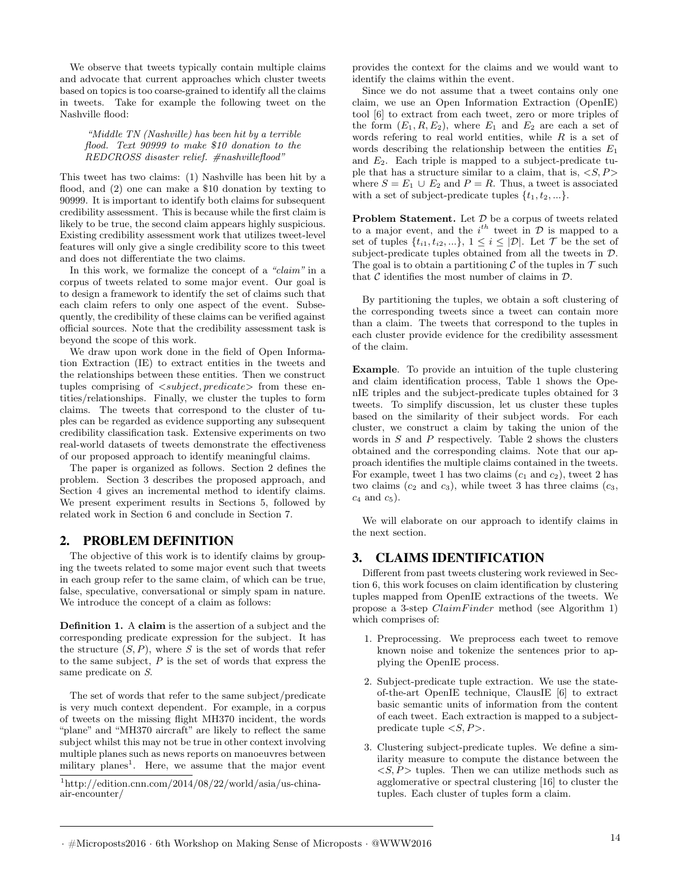We observe that tweets typically contain multiple claims and advocate that current approaches which cluster tweets based on topics is too coarse-grained to identify all the claims in tweets. Take for example the following tweet on the Nashville flood:

"Middle TN (Nashville) has been hit by a terrible flood. Text 90999 to make \$10 donation to the REDCROSS disaster relief. #nashvilleflood"

This tweet has two claims: (1) Nashville has been hit by a flood, and (2) one can make a \$10 donation by texting to 90999. It is important to identify both claims for subsequent credibility assessment. This is because while the first claim is likely to be true, the second claim appears highly suspicious. Existing credibility assessment work that utilizes tweet-level features will only give a single credibility score to this tweet and does not differentiate the two claims.

In this work, we formalize the concept of a "claim" in a corpus of tweets related to some major event. Our goal is to design a framework to identify the set of claims such that each claim refers to only one aspect of the event. Subsequently, the credibility of these claims can be verified against official sources. Note that the credibility assessment task is beyond the scope of this work.

We draw upon work done in the field of Open Information Extraction (IE) to extract entities in the tweets and the relationships between these entities. Then we construct tuples comprising of  $\langle subject, predicate \rangle$  from these entities/relationships. Finally, we cluster the tuples to form claims. The tweets that correspond to the cluster of tuples can be regarded as evidence supporting any subsequent credibility classification task. Extensive experiments on two real-world datasets of tweets demonstrate the effectiveness of our proposed approach to identify meaningful claims.

The paper is organized as follows. Section 2 defines the problem. Section 3 describes the proposed approach, and Section 4 gives an incremental method to identify claims. We present experiment results in Sections 5, followed by related work in Section 6 and conclude in Section 7.

# 2. PROBLEM DEFINITION

The objective of this work is to identify claims by grouping the tweets related to some major event such that tweets in each group refer to the same claim, of which can be true, false, speculative, conversational or simply spam in nature. We introduce the concept of a claim as follows:

**Definition 1.** A claim is the assertion of a subject and the corresponding predicate expression for the subject. It has the structure  $(S, P)$ , where S is the set of words that refer to the same subject, P is the set of words that express the same predicate on S .

The set of words that refer to the same subject/predicate is very much context dependent. For example, in a corpus of tweets on the missing flight MH370 incident, the words "plane" and "MH370 aircraft" are likely to reflect the same subject whilst this may not be true in other context involving multiple planes such as news reports on manoeuvres between military planes<sup>1</sup>. Here, we assume that the major event

 $1$ http://edition.cnn.com/2014/08/22/world/asia/us-chinaair-encounter/

provides the context for the claims and we would want to identify the claims within the event.

Since we do not assume that a tweet contains only one claim, we use an Open Information Extraction (OpenIE) tool [6] to extract from each tweet, zero or more triples of the form  $(E_1, R, E_2)$ , where  $E_1$  and  $E_2$  are each a set of words refering to real world entities, while R is a set of words describing the relationship between the entities  $E_1$ and E 2. Each triple is mapped to a subject-predicate tuple that has a structure similar to a claim, that is,  $\langle S, P \rangle$ where  $S = E_1 \cup E_2$  and  $P = R$ . Thus, a tweet is associated with a set of subject-predicate tuples  $\{t_1, t_2, ...\}$ .

**Problem Statement.** Let  $\mathcal{D}$  be a corpus of tweets related to a major event, and the  $i^{th}$  tweet in  $D$  is mapped to a set of tuples  $\{t_{i1}, t_{i2}, ...\}$ ,  $1 \leq i \leq |\mathcal{D}|$ . Let  $\mathcal{T}$  be the set of subject-predicate tuples obtained from all the tweets in  $\mathcal{D}$ . The goal is to obtain a partitioning  $\mathcal C$  of the tuples in  $\mathcal T$  such that  $C$  identifies the most number of claims in  $D$ .

By partitioning the tuples, we obtain a soft clustering of the corresponding tweets since a tweet can contain more than a claim. The tweets that correspond to the tuples in each cluster provide evidence for the credibility assessment of the claim.

Example. To provide an intuition of the tuple clustering and claim identification process, Table 1 shows the OpenIE triples and the subject-predicate tuples obtained for 3 tweets. To simplify discussion, let us cluster these tuples based on the similarity of their subject words. For each cluster, we construct a claim by taking the union of the words in S and P respectively. Table 2 shows the clusters obtained and the corresponding claims. Note that our approach identifies the multiple claims contained in the tweets. For example, tweet 1 has two claims  $(c_1 \text{ and } c_2)$ , tweet 2 has two claims  $(c_2 \text{ and } c_3)$ , while tweet 3 has three claims  $(c_3,$  $c_4$  and  $c_5$ ).

We will elaborate on our approach to identify claims in the next section.

# 3. CLAIMS IDENTIFICATION

Different from past tweets clustering work reviewed in Section 6, this work focuses on claim identification by clustering tuples mapped from OpenIE extractions of the tweets. We propose a 3-step  $ClaimFinder$  method (see Algorithm 1) which comprises of:

- 1. Preprocessing. We preprocess each tweet to remove known noise and tokenize the sentences prior to applying the OpenIE process.
- 2. Subject-predicate tuple extraction. We use the stateof-the-art OpenIE technique, ClausIE [6] to extract basic semantic units of information from the content of each tweet. Each extraction is mapped to a subjectpredicate tuple  $\langle S, P \rangle$ .
- 3. Clustering subject-predicate tuples. We define a similarity measure to compute the distance between the  $\langle S, P \rangle$  tuples. Then we can utilize methods such as agglomerative or spectral clustering [16] to cluster the tuples. Each cluster of tuples form a claim.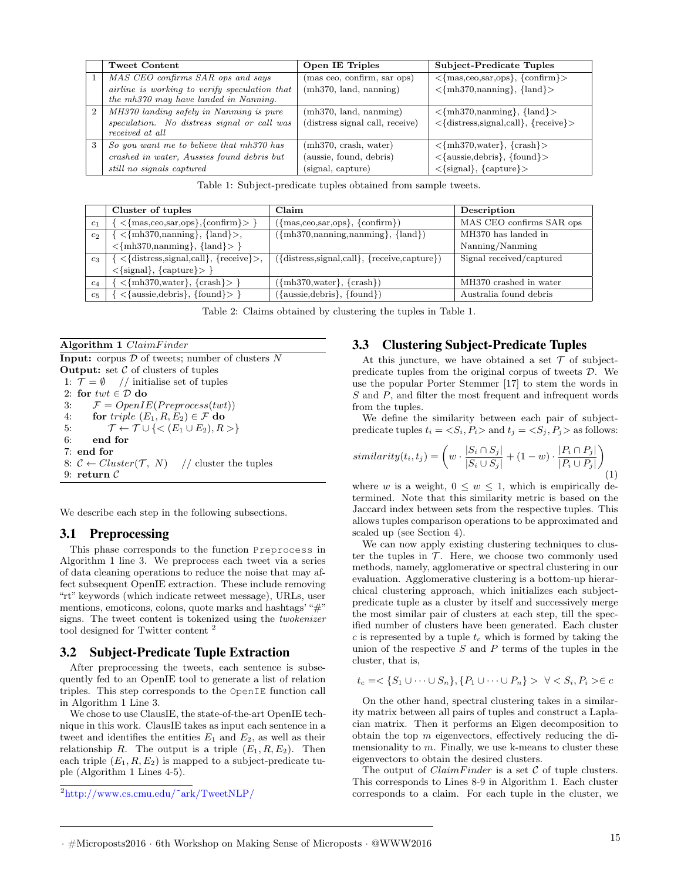|                | Tweet Content                                                                                                       | <b>Open IE Triples</b>                                                | Subject-Predicate Tuples                                                                                                                            |
|----------------|---------------------------------------------------------------------------------------------------------------------|-----------------------------------------------------------------------|-----------------------------------------------------------------------------------------------------------------------------------------------------|
|                | MAS CEO confirms SAR ops and says                                                                                   | (mas ceo, confirm, sar ops)                                           | $\langle \text{mas,ceo,sar,ops} \rangle, \{\text{confirm}\}\rangle$                                                                                 |
|                | airline is working to verify speculation that<br>the mh370 may have landed in Nanning.                              | (mh370, land, nanning)                                                | $\langle \{\text{mh370}, \text{nanning}\}, \{\text{land}\}\rangle$                                                                                  |
| $\overline{2}$ | MH370 landing safely in Nanming is pure<br>speculation. No distress signal or call was<br>received at all           | (mh370, land, nanning)<br>(distress signal call, receive)             | $\langle \{\text{mh370}, \text{nanning}\}, \{\text{land}\}\rangle$<br>$\langle \text{distress,signal,call}\rangle, \text{freeive}\rangle$           |
| 3              | So you want me to believe that mh370 has<br>crashed in water, Aussies found debris but<br>still no signals captured | (mh370, crash, water)<br>(aussie, found, debris)<br>(signal, capture) | $\{\text{mh370,water}\}, \{\text{crash}\}\$<br>$\langle \text{aussie,debris}\rangle, \text{found}\rangle$<br>$\langle$ signal}, $\langle$ capture}> |

|                   | Cluster of tuples                                                                          | Claim                                                       | Description              |
|-------------------|--------------------------------------------------------------------------------------------|-------------------------------------------------------------|--------------------------|
| C <sub>1</sub>    | $\langle \text{mas,ceo,sar,ops}\rangle$ , {confirm} > }                                    | $({\{mas,ceo,sar,ops\}, \{confirm\}})$                      | MAS CEO confirms SAR ops |
| c <sub>2</sub>    | $\left[ \langle \mathbf{mh}370, \text{nanning} \rangle, \{\mathbf{land}\}\rangle,$         | $({m1370, nanning, nanning}, {land})$                       | MH370 has landed in      |
|                   | $\langle \{\text{mh370}, \text{nanning}\}, \{\text{land}\} \rangle$                        |                                                             | Nanning/Nanming          |
| $c_3$             | $\{ \langle\{\text{distress}, \text{signal}, \text{call}\}, \{\text{receive}\}\rangle, \}$ | $({\text{distress,signal,call}}, {\text{receive,capture}})$ | Signal received/captured |
|                   | $\langle \{signal\}, \{capture\} \rangle$                                                  |                                                             |                          |
| $c_4$             | $\langle \{\text{mh370}, \text{water}\}, \{\text{crash}\}\rangle$                          | $({m1370, water}, {crash})$                                 | MH370 crashed in water   |
| $C_{\mathcal{D}}$ | $\{\text{aussie,debris}\}, \{\text{found}\} > \}$                                          | ({aussie, debris}, {found})                                 | Australia found debris   |

Table 2: Claims obtained by clustering the tuples in Table 1.

| Algorithm 1 $ClaimFinder$                                                                     |  |  |
|-----------------------------------------------------------------------------------------------|--|--|
| <b>Input:</b> corpus $D$ of tweets; number of clusters N                                      |  |  |
| <b>Output:</b> set $\mathcal C$ of clusters of tuples                                         |  |  |
| 1: $\mathcal{T} = \emptyset$ // initialise set of tuples                                      |  |  |
| 2: for $twt \in \mathcal{D}$ do                                                               |  |  |
| $\mathcal{F} = OpenIE(Preprocess(twt))$<br>3:                                                 |  |  |
| for triple $(E_1, R, E_2) \in \mathcal{F}$ do<br>4:                                           |  |  |
| $\mathcal{T} \leftarrow \mathcal{T} \cup \{ \langle E_1 \cup E_2 \rangle, R \rangle \}$<br>5: |  |  |
| 6:<br>end for                                                                                 |  |  |
| $7:$ end for                                                                                  |  |  |
| 8: $C \leftarrow Cluster(\mathcal{T}, N)$ // cluster the tuples                               |  |  |
| 9: return $\mathcal C$                                                                        |  |  |

We describe each step in the following subsections.

# 3.1 Preprocessing

This phase corresponds to the function Preprocess in Algorithm 1 line 3. We preprocess each tweet via a series of data cleaning operations to reduce the noise that may affect subsequent OpenIE extraction. These include removing "rt" keywords (which indicate retweet message), URLs, user mentions, emoticons, colons, quote marks and hashtags' "#" signs. The tweet content is tokenized using the twokenizer tool designed for Twitter content 2

#### 3.2 Subject-Predicate Tuple Extraction

After preprocessing the tweets, each sentence is subsequently fed to an OpenIE tool to generate a list of relation triples. This step corresponds to the OpenIE function call in Algorithm 1 Line 3.

We chose to use ClausIE, the state-of-the-art OpenIE technique in this work. ClausIE takes as input each sentence in a tweet and identifies the entities  $E_1$  and  $E_2$ , as well as their relationship R. The output is a triple  $(E_1, R, E_2)$ . Then each triple  $(E_1, R, E_2)$  is mapped to a subject-predicate tuple (Algorithm 1 Lines 4-5).

<sup>2</sup>http://www.cs.cmu.edu/˜ark/TweetNLP/

#### 3.3 Clustering Subject-Predicate Tuples

At this juncture, we have obtained a set  $\mathcal T$  of subjectpredicate tuples from the original corpus of tweets D. We use the popular Porter Stemmer [17] to stem the words in S and P, and filter the most frequent and infrequent words from the tuples.

We define the similarity between each pair of subjectpredicate tuples  $t_i = \langle S_i, P_i \rangle$  and  $t_j = \langle S_j, P_j \rangle$  as follows:

$$
similarity(t_i, t_j) = \left(w \cdot \frac{|S_i \cap S_j|}{|S_i \cup S_j|} + (1 - w) \cdot \frac{|P_i \cap P_j|}{|P_i \cup P_j|}\right)_{(1)}
$$

where w is a weight,  $0 \leq w \leq 1$ , which is empirically determined. Note that this similarity metric is based on the Jaccard index between sets from the respective tuples. This allows tuples comparison operations to be approximated and scaled up (see Section 4).

We can now apply existing clustering techniques to cluster the tuples in  $T$ . Here, we choose two commonly used methods, namely, agglomerative or spectral clustering in our evaluation. Agglomerative clustering is a bottom-up hierarchical clustering approach, which initializes each subjectpredicate tuple as a cluster by itself and successively merge the most similar pair of clusters at each step, till the specified number of clusters have been generated. Each cluster c is represented by a tuple  $t_c$  which is formed by taking the union of the respective  $S$  and  $P$  terms of the tuples in the cluster, that is,

$$
t_c = \langle S_1 \cup \cdots \cup S_n \rangle, \{ P_1 \cup \cdots \cup P_n \} \rangle \quad \forall \langle S_i, P_i \rangle \in c
$$

On the other hand, spectral clustering takes in a similarity matrix between all pairs of tuples and construct a Laplacian matrix. Then it performs an Eigen decomposition to obtain the top m eigenvectors, effectively reducing the dimensionality to  $m$ . Finally, we use k-means to cluster these eigenvectors to obtain the desired clusters.

The output of  $ClaimFinder$  is a set  $C$  of tuple clusters. This corresponds to Lines 8-9 in Algorithm 1. Each cluster corresponds to a claim. For each tuple in the cluster, we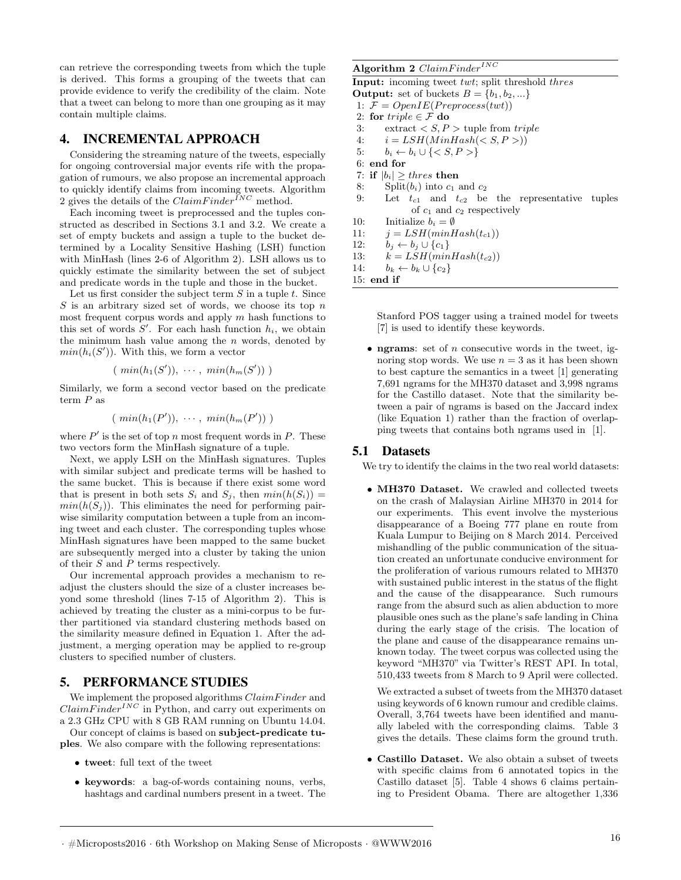can retrieve the corresponding tweets from which the tuple is derived. This forms a grouping of the tweets that can provide evidence to verify the credibility of the claim. Note that a tweet can belong to more than one grouping as it may contain multiple claims.

#### 4. INCREMENTAL APPROACH

Considering the streaming nature of the tweets, especially for ongoing controversial major events rife with the propagation of rumours, we also propose an incremental approach to quickly identify claims from incoming tweets. Algorithm 2 gives the details of the  $ClaimFinder^{INC}$  method.

Each incoming tweet is preprocessed and the tuples constructed as described in Sections 3.1 and 3.2. We create a set of empty buckets and assign a tuple to the bucket determined by a Locality Sensitive Hashing (LSH) function with MinHash (lines 2-6 of Algorithm 2). LSH allows us to quickly estimate the similarity between the set of subject and predicate words in the tuple and those in the bucket.

Let us first consider the subject term  $S$  in a tuple  $t$ . Since  $S$  is an arbitrary sized set of words, we choose its top  $n$ most frequent corpus words and apply m hash functions to this set of words  $S'$ . For each hash function  $h_i$ , we obtain the minimum hash value among the  $n$  words, denoted by  $min(h_i(S'))$ . With this, we form a vector

$$
(\ min(h_1(S')), \cdots, \ min(h_m(S')))
$$

Similarly, we form a second vector based on the predicate term P as

 $(min(h_1(P')), \cdots, min(h_m(P')))$ 

where  $P'$  is the set of top n most frequent words in P. These two vectors form the MinHash signature of a tuple.

Next, we apply LSH on the MinHash signatures. Tuples with similar subject and predicate terms will be hashed to the same bucket. This is because if there exist some word that is present in both sets  $S_i$  and  $S_j$ , then  $min(h(S_i)) =$  $min(h(S<sub>j</sub>)).$  This eliminates the need for performing pairwise similarity computation between a tuple from an incoming tweet and each cluster. The corresponding tuples whose MinHash signatures have been mapped to the same bucket are subsequently merged into a cluster by taking the union of their S and P terms respectively.

Our incremental approach provides a mechanism to readjust the clusters should the size of a cluster increases beyond some threshold (lines 7-15 of Algorithm 2). This is achieved by treating the cluster as a mini-corpus to be further partitioned via standard clustering methods based on the similarity measure defined in Equation 1. After the adjustment, a merging operation may be applied to re-group clusters to specified number of clusters.

# 5. PERFORMANCE STUDIES

We implement the proposed algorithms  $ClaimFinder$  and  $ClaimFinder^{ING}$  in Python, and carry out experiments on a 2.3 GHz CPU with 8 GB RAM running on Ubuntu 14.04.

Our concept of claims is based on subject-predicate tuples. We also compare with the following representations:

- tweet: full text of the tweet
- keywords: a bag-of-words containing nouns, verbs, hashtags and cardinal numbers present in a tweet. The

#### Algorithm 2  $ClaimFinder^{INC}$

Input: incoming tweet twt; split threshold thres

**Output:** set of buckets  $B = \{b_1, b_2, ...\}$ 

- 1:  $\mathcal{F} = OpenIE(Preprocess(twt))$
- 2: for  $triple \in \mathcal{F}$  do<br>3: extract  $\lt S, P$
- $\text{extract} < S, P$  > tuple from triple
- 4:  $i = LSH(MinHash(*S, P>)*)$
- 5:  $b_i \leftarrow b_i \cup \{  \}$
- 6: end for
- 7: if  $|b_i| \geq thres$  then
- 8: Split( $b_i$ ) into  $c_1$  and  $c_2$
- 9: Let  $t_{c1}$  and  $t_{c2}$  be the representative tuples of  $c_1$  and  $c_2$  respectively
- 10: Initialize  $b_i = \emptyset$
- 11:  $j = LSH(minHash(t_{c1}))$
- 12:  $b_j \leftarrow b_j \cup \{c_1\}$
- 13:  $k = LSH(minHash(t_{c2}))$
- 14:  $b_k \leftarrow b_k \cup \{c_2\}$

15: end if

Stanford POS tagger using a trained model for tweets [7] is used to identify these keywords.

• **ngrams**: set of  $n$  consecutive words in the tweet, ignoring stop words. We use  $n = 3$  as it has been shown to best capture the semantics in a tweet [1] generating 7,691 ngrams for the MH370 dataset and 3,998 ngrams for the Castillo dataset. Note that the similarity between a pair of ngrams is based on the Jaccard index (like Equation 1) rather than the fraction of overlapping tweets that contains both ngrams used in [1].

#### 5.1 Datasets

We try to identify the claims in the two real world datasets:

• MH370 Dataset. We crawled and collected tweets on the crash of Malaysian Airline MH370 in 2014 for our experiments. This event involve the mysterious disappearance of a Boeing 777 plane en route from Kuala Lumpur to Beijing on 8 March 2014. Perceived mishandling of the public communication of the situation created an unfortunate conducive environment for the proliferation of various rumours related to MH370 with sustained public interest in the status of the flight and the cause of the disappearance. Such rumours range from the absurd such as alien abduction to more plausible ones such as the plane's safe landing in China during the early stage of the crisis. The location of the plane and cause of the disappearance remains unknown today. The tweet corpus was collected using the keyword "MH370" via Twitter's REST API. In total, 510,433 tweets from 8 March to 9 April were collected.

We extracted a subset of tweets from the MH370 dataset using keywords of 6 known rumour and credible claims. Overall, 3,764 tweets have been identified and manually labeled with the corresponding claims. Table 3 gives the details. These claims form the ground truth.

• Castillo Dataset. We also obtain a subset of tweets with specific claims from 6 annotated topics in the Castillo dataset [5]. Table 4 shows 6 claims pertaining to President Obama. There are altogether 1,336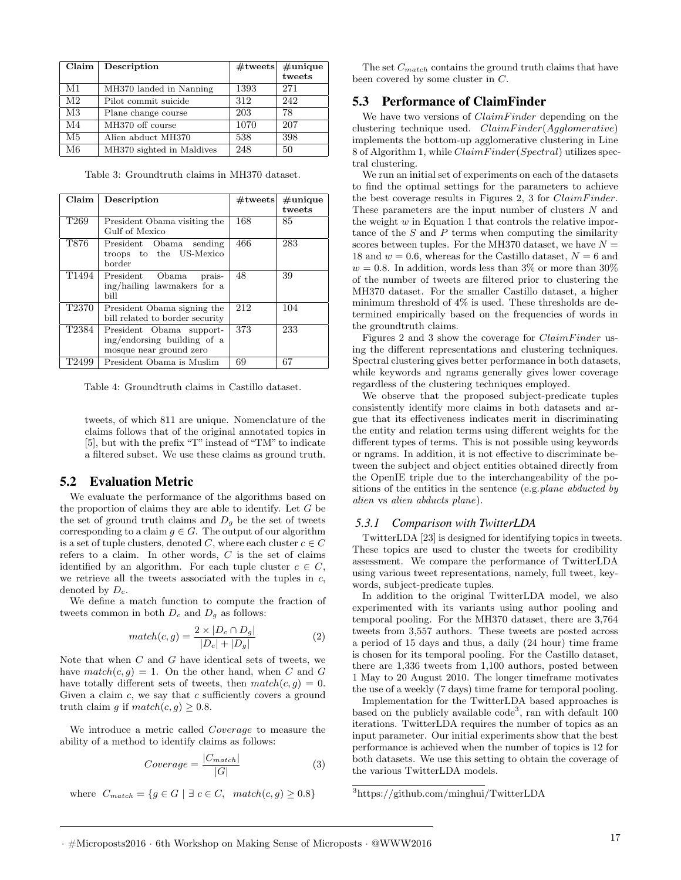| Claim          | Description               | $#$ tweets | $#$ unique |
|----------------|---------------------------|------------|------------|
|                |                           |            | tweets     |
| M1             | MH370 landed in Nanning   | 1393       | 271        |
| M <sub>2</sub> | Pilot commit suicide      | 312        | 242        |
| M <sub>3</sub> | Plane change course       | 203        | 78         |
| M4             | MH370 off course          | 1070       | 207        |
| M5             | Alien abduct MH370        | 538        | 398        |
| M6             | MH370 sighted in Maldives | 248        | 50         |

Table 3: Groundtruth claims in MH370 dataset.

| Claim             | Description                                                                        | $#$ tweets | $\#$ unique<br>tweets |
|-------------------|------------------------------------------------------------------------------------|------------|-----------------------|
| T <sub>269</sub>  | President Obama visiting the<br>Gulf of Mexico                                     | 168        | 85                    |
| T876              | President Obama sending<br>troops to the US-Mexico<br>border                       | 466        | 283                   |
| T <sub>1494</sub> | President Obama<br>prais-<br>ing/hailing lawmakers for a<br>bill                   | 48         | 39                    |
| T <sub>2370</sub> | President Obama signing the<br>bill related to border security                     | 212        | 104                   |
| T2384             | President Obama support-<br>ing/endorsing building of a<br>mosque near ground zero | 373        | 233                   |
| T2499             | President Obama is Muslim                                                          | 69         | 67                    |

Table 4: Groundtruth claims in Castillo dataset.

tweets, of which 811 are unique. Nomenclature of the claims follows that of the original annotated topics in [5], but with the prefix "T" instead of "TM" to indicate a filtered subset. We use these claims as ground truth.

#### 5.2 Evaluation Metric

We evaluate the performance of the algorithms based on the proportion of claims they are able to identify. Let G be the set of ground truth claims and  $D_g$  be the set of tweets corresponding to a claim  $g \in G$ . The output of our algorithm is a set of tuple clusters, denoted C, where each cluster  $c \in C$ refers to a claim. In other words, C is the set of claims identified by an algorithm. For each tuple cluster  $c \in C$ , we retrieve all the tweets associated with the tuples in  $c$ , denoted by  $D_c$ .

We define a match function to compute the fraction of tweets common in both  $D_c$  and  $D_g$  as follows:

$$
match(c,g) = \frac{2 \times |D_c \cap D_g|}{|D_c| + |D_g|}
$$
 (2)

Note that when C and G have identical sets of tweets, we have  $match(c, g) = 1$ . On the other hand, when C and G have totally different sets of tweets, then  $match(c, g) = 0$ . Given a claim c, we say that c sufficiently covers a ground truth claim g if  $match(c, g) \ge 0.8$ .

We introduce a metric called Coverage to measure the ability of a method to identify claims as follows:

$$
Coverage = \frac{|C_{match}|}{|G|} \tag{3}
$$

where  $C_{match} = \{ g \in G \mid \exists c \in C, match(c, g) \ge 0.8 \}$ 

The set  $C_{match}$  contains the ground truth claims that have been covered by some cluster in C.

#### 5.3 Performance of ClaimFinder

We have two versions of  $ClaimFinder$  depending on the clustering technique used.  $ClaimFinder(Agglomerative)$ implements the bottom-up agglomerative clustering in Line 8 of Algorithm 1, while  $ClaimFinder(Spectral)$  utilizes spectral clustering.

We run an initial set of experiments on each of the datasets to find the optimal settings for the parameters to achieve the best coverage results in Figures 2, 3 for  $ClaimFinder$ . These parameters are the input number of clusters N and the weight w in Equation 1 that controls the relative importance of the  $S$  and  $P$  terms when computing the similarity scores between tuples. For the MH370 dataset, we have  $N =$ 18 and  $w = 0.6$ , whereas for the Castillo dataset,  $N = 6$  and  $w = 0.8$ . In addition, words less than 3% or more than 30% of the number of tweets are filtered prior to clustering the MH370 dataset. For the smaller Castillo dataset, a higher minimum threshold of  $4\%$  is used. These thresholds are determined empirically based on the frequencies of words in the groundtruth claims.

Figures 2 and 3 show the coverage for *ClaimFinder* using the different representations and clustering techniques. Spectral clustering gives better performance in both datasets, while keywords and ngrams generally gives lower coverage regardless of the clustering techniques employed.

We observe that the proposed subject-predicate tuples consistently identify more claims in both datasets and argue that its effectiveness indicates merit in discriminating the entity and relation terms using different weights for the different types of terms. This is not possible using keywords or ngrams. In addition, it is not effective to discriminate between the subject and object entities obtained directly from the OpenIE triple due to the interchangeability of the positions of the entities in the sentence (e.g. plane abducted by alien vs alien abducts plane).

#### *5.3.1 Comparison with TwitterLDA*

TwitterLDA [23] is designed for identifying topics in tweets. These topics are used to cluster the tweets for credibility assessment. We compare the performance of TwitterLDA using various tweet representations, namely, full tweet, keywords, subject-predicate tuples.

In addition to the original TwitterLDA model, we also experimented with its variants using author pooling and temporal pooling. For the MH370 dataset, there are 3,764 tweets from 3,557 authors. These tweets are posted across a period of 15 days and thus, a daily (24 hour) time frame is chosen for its temporal pooling. For the Castillo dataset, there are 1,336 tweets from 1,100 authors, posted between 1 May to 20 August 2010. The longer timeframe motivates the use of a weekly (7 days) time frame for temporal pooling.

Implementation for the TwitterLDA based approaches is based on the publicly available code 3 , ran with default 100 iterations. TwitterLDA requires the number of topics as an input parameter. Our initial experiments show that the best performance is achieved when the number of topics is 12 for both datasets. We use this setting to obtain the coverage of the various TwitterLDA models.

<sup>3</sup>https://github.com/minghui/TwitterLDA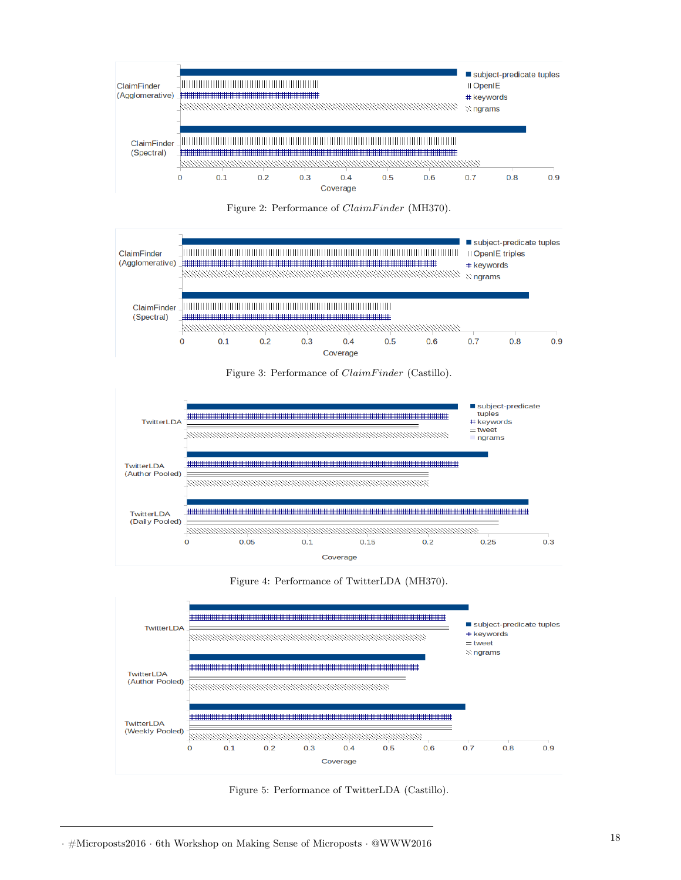











Figure 5: Performance of TwitterLDA (Castillo).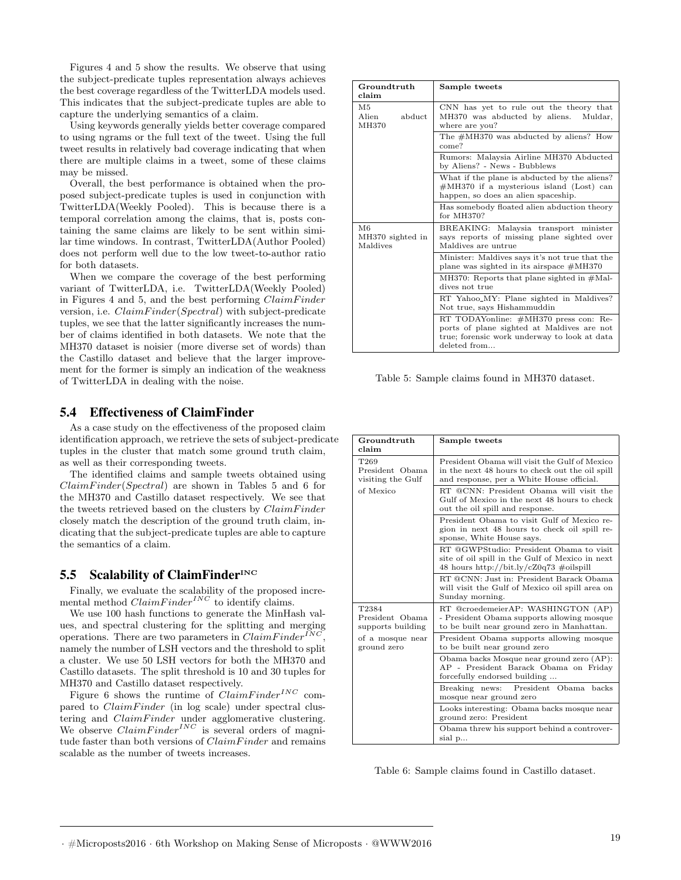Figures 4 and 5 show the results. We observe that using the subject-predicate tuples representation always achieves the best coverage regardless of the TwitterLDA models used. This indicates that the subject-predicate tuples are able to capture the underlying semantics of a claim.

Using keywords generally yields better coverage compared to using ngrams or the full text of the tweet. Using the full tweet results in relatively bad coverage indicating that when there are multiple claims in a tweet, some of these claims may be missed.

Overall, the best performance is obtained when the proposed subject-predicate tuples is used in conjunction with TwitterLDA(Weekly Pooled). This is because there is a temporal correlation among the claims, that is, posts containing the same claims are likely to be sent within similar time windows. In contrast, TwitterLDA(Author Pooled) does not perform well due to the low tweet-to-author ratio for both datasets.

When we compare the coverage of the best performing variant of TwitterLDA, i.e. TwitterLDA(Weekly Pooled) in Figures 4 and 5, and the best performing  $ClaimFinder$ version, i.e.  $ClaimFinder(Spectral)$  with subject-predicate tuples, we see that the latter significantly increases the number of claims identified in both datasets. We note that the MH370 dataset is noisier (more diverse set of words) than the Castillo dataset and believe that the larger improvement for the former is simply an indication of the weakness of TwitterLDA in dealing with the noise.

#### 5.4 Effectiveness of ClaimFinder

As a case study on the effectiveness of the proposed claim identification approach, we retrieve the sets of subject-predicate tuples in the cluster that match some ground truth claim, as well as their corresponding tweets.

The identified claims and sample tweets obtained using  $ClaimFinder(Spectral)$  are shown in Tables 5 and 6 for the MH370 and Castillo dataset respectively. We see that the tweets retrieved based on the clusters by *ClaimFinder* closely match the description of the ground truth claim, indicating that the subject-predicate tuples are able to capture the semantics of a claim.

# 5.5 Scalability of ClaimFinder<sup>INC</sup>

Finally, we evaluate the scalability of the proposed incremental method  $ClaimFinder^{INC}$  to identify claims.

We use 100 hash functions to generate the MinHash values, and spectral clustering for the splitting and merging operations. There are two parameters in  $ClaimFinder^{ING}$ , namely the number of LSH vectors and the threshold to split a cluster. We use 50 LSH vectors for both the MH370 and Castillo datasets. The split threshold is 10 and 30 tuples for MH370 and Castillo dataset respectively.

Figure 6 shows the runtime of  $ClaimFinder^{INC}$  compared to *ClaimFinder* (in log scale) under spectral clustering and *ClaimFinder* under agglomerative clustering. We observe  $ClaimFinder^{INC}$  is several orders of magnitude faster than both versions of  $ClaimFinder$  and remains scalable as the number of tweets increases.

| Groundtruth<br>claim               | Sample tweets                                                                                                                                       |
|------------------------------------|-----------------------------------------------------------------------------------------------------------------------------------------------------|
| M5<br>abduct<br>Alien<br>MH370     | CNN has yet to rule out the theory that<br>MH370 was abducted by aliens.<br>Muldar,<br>where are you?                                               |
|                                    | The $\#MH370$ was abducted by aliens? How<br>come?                                                                                                  |
|                                    | Rumors: Malaysia Airline MH370 Abducted<br>by Aliens? - News - Bubblews                                                                             |
|                                    | What if the plane is abducted by the aliens?<br>$\#MH370$ if a mysterious island (Lost) can<br>happen, so does an alien spaceship.                  |
|                                    | Has somebody floated alien abduction theory<br>for MH370?                                                                                           |
| M6<br>MH370 sighted in<br>Maldives | BREAKING: Malaysia transport minister<br>says reports of missing plane sighted over<br>Maldives are untrue                                          |
|                                    | Minister: Maldives says it's not true that the<br>plane was sighted in its airspace $\#MH370$                                                       |
|                                    | MH370: Reports that plane sighted in $\#$ Mal-<br>dives not true                                                                                    |
|                                    | RT Yahoo_MY: Plane sighted in Maldives?<br>Not true, says Hishammuddin                                                                              |
|                                    | RT TODAYonline: #MH370 press con: Re-<br>ports of plane sighted at Maldives are not<br>true; forensic work underway to look at data<br>deleted from |

Table 5: Sample claims found in MH370 dataset.

| Groundtruth<br>claim                                     | Sample tweets                                                                                                                                 |
|----------------------------------------------------------|-----------------------------------------------------------------------------------------------------------------------------------------------|
| T <sub>269</sub><br>President Obama<br>visiting the Gulf | President Obama will visit the Gulf of Mexico<br>in the next 48 hours to check out the oil spill<br>and response, per a White House official. |
| of Mexico                                                | RT @CNN: President Obama will visit the<br>Gulf of Mexico in the next 48 hours to check<br>out the oil spill and response.                    |
|                                                          | President Obama to visit Gulf of Mexico re-<br>gion in next 48 hours to check oil spill re-<br>sponse, White House says.                      |
|                                                          | RT @GWPStudio: President Obama to visit<br>site of oil spill in the Gulf of Mexico in next<br>48 hours http://bit.ly/cZ0q73 #oilspill         |
|                                                          | RT @CNN: Just in: President Barack Obama<br>will visit the Gulf of Mexico oil spill area on<br>Sunday morning.                                |
| T2384<br>President Obama<br>supports building            | RT @croedemeierAP: WASHINGTON (AP)<br>- President Obama supports allowing mosque<br>to be built near ground zero in Manhattan.                |
| of a mosque near<br>ground zero                          | President Obama supports allowing mosque<br>to be built near ground zero                                                                      |
|                                                          | Obama backs Mosque near ground zero (AP):<br>AP - President Barack Obama on Friday<br>forcefully endorsed building                            |
|                                                          | President Obama backs<br>Breaking news:<br>mosque near ground zero                                                                            |
|                                                          | Looks interesting: Obama backs mosque near<br>ground zero: President                                                                          |
|                                                          | Obama threw his support behind a controver-<br>sial p                                                                                         |

Table 6: Sample claims found in Castillo dataset.